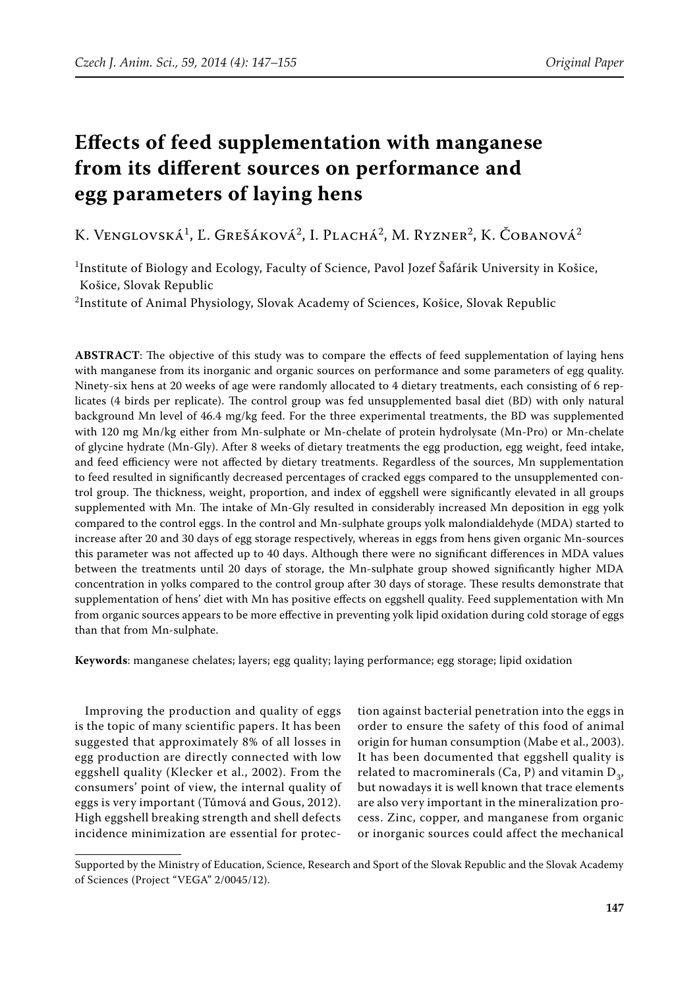# **Effects of feed supplementation with manganese from its different sources on performance and egg parameters of laying hens**

K. Venglovská<sup>1</sup>, Ľ. Grešáková<sup>2</sup>, I. Plachá<sup>2</sup>, M. Ryzner<sup>2</sup>, K. Čobanová<sup>2</sup>

<sup>1</sup>Institute of Biology and Ecology, Faculty of Science, Pavol Jozef Šafárik University in Košice, Košice, Slovak Republic

 $^2$ Institute of Animal Physiology, Slovak Academy of Sciences, Košice, Slovak Republic

**ABSTRACT**: The objective of this study was to compare the effects of feed supplementation of laying hens with manganese from its inorganic and organic sources on performance and some parameters of egg quality. Ninety-six hens at 20 weeks of age were randomly allocated to 4 dietary treatments, each consisting of 6 replicates (4 birds per replicate). The control group was fed unsupplemented basal diet (BD) with only natural background Mn level of 46.4 mg/kg feed. For the three experimental treatments, the BD was supplemented with 120 mg Mn/kg either from Mn-sulphate or Mn-chelate of protein hydrolysate (Mn-Pro) or Mn-chelate of glycine hydrate (Mn-Gly). After 8 weeks of dietary treatments the egg production, egg weight, feed intake, and feed efficiency were not affected by dietary treatments. Regardless of the sources, Mn supplementation to feed resulted in significantly decreased percentages of cracked eggs compared to the unsupplemented control group. The thickness, weight, proportion, and index of eggshell were significantly elevated in all groups supplemented with Mn. The intake of Mn-Gly resulted in considerably increased Mn deposition in egg yolk compared to the control eggs. In the control and Mn-sulphate groups yolk malondialdehyde (MDA) started to increase after 20 and 30 days of egg storage respectively, whereas in eggs from hens given organic Mn-sources this parameter was not affected up to 40 days. Although there were no significant differences in MDA values between the treatments until 20 days of storage, the Mn-sulphate group showed significantly higher MDA concentration in yolks compared to the control group after 30 days of storage. These results demonstrate that supplementation of hens' diet with Mn has positive effects on eggshell quality. Feed supplementation with Mn from organic sources appears to be more effective in preventing yolk lipid oxidation during cold storage of eggs than that from Mn-sulphate.

**Keywords**: manganese chelates; layers; egg quality; laying performance; egg storage; lipid oxidation

Improving the production and quality of eggs is the topic of many scientific papers. It has been suggested that approximately 8% of all losses in egg production are directly connected with low eggshell quality (Klecker et al., 2002). From the consumers' point of view, the internal quality of eggs is very important (Tůmová and Gous, 2012). High eggshell breaking strength and shell defects incidence minimization are essential for protec-

tion against bacterial penetration into the eggs in order to ensure the safety of this food of animal origin for human consumption (Mabe et al., 2003). It has been documented that eggshell quality is related to macrominerals (Ca, P) and vitamin  $D_3$ , but nowadays it is well known that trace elements are also very important in the mineralization process. Zinc, copper, and manganese from organic or inorganic sources could affect the mechanical

Supported by the Ministry of Education, Science, Research and Sport of the Slovak Republic and the Slovak Academy of Sciences (Project "VEGA" 2/0045/12).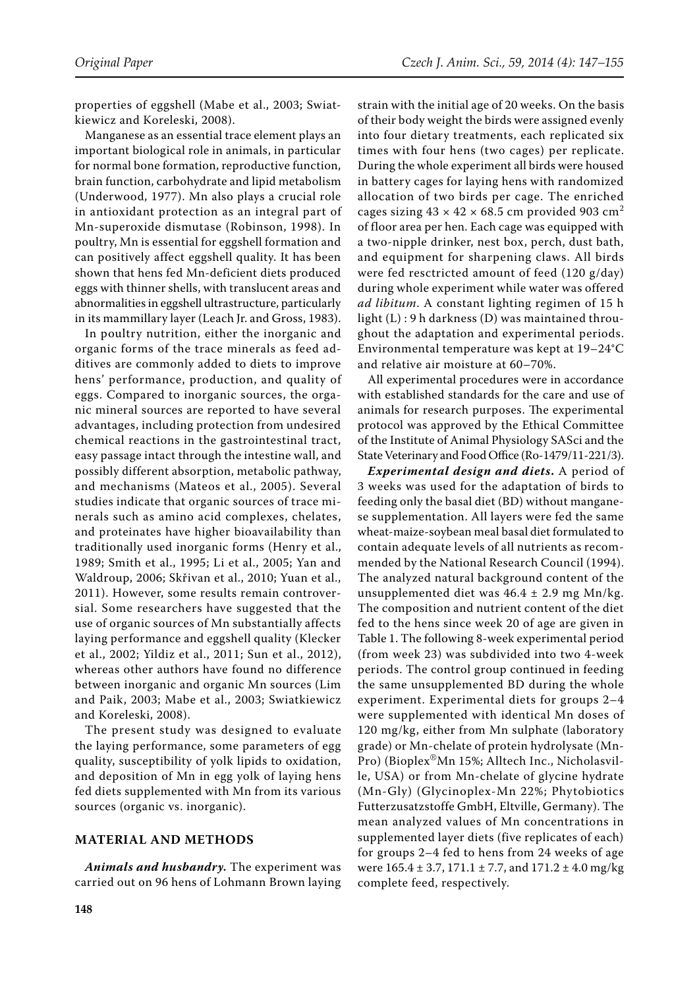properties of eggshell (Mabe et al., 2003; Swiatkiewicz and Koreleski, 2008).

Manganese as an essential trace element plays an important biological role in animals, in particular for normal bone formation, reproductive function, brain function, carbohydrate and lipid metabolism (Underwood, 1977). Mn also plays a crucial role in antioxidant protection as an integral part of Mn-superoxide dismutase (Robinson, 1998). In poultry, Mn is essential for eggshell formation and can positively affect eggshell quality. It has been shown that hens fed Mn-deficient diets produced eggs with thinner shells, with translucent areas and abnormalities in eggshell ultrastructure, particularly in its mammillary layer (Leach Jr. and Gross, 1983).

In poultry nutrition, either the inorganic and organic forms of the trace minerals as feed additives are commonly added to diets to improve hens' performance, production, and quality of eggs. Compared to inorganic sources, the organic mineral sources are reported to have several advantages, including protection from undesired chemical reactions in the gastrointestinal tract, easy passage intact through the intestine wall, and possibly different absorption, metabolic pathway, and mechanisms (Mateos et al., 2005). Several studies indicate that organic sources of trace minerals such as amino acid complexes, chelates, and proteinates have higher bioavailability than traditionally used inorganic forms (Henry et al., 1989; Smith et al., 1995; Li et al., 2005; Yan and Waldroup, 2006; Skřivan et al., 2010; Yuan et al., 2011). However, some results remain controversial. Some researchers have suggested that the use of organic sources of Mn substantially affects laying performance and eggshell quality (Klecker et al., 2002; Yildiz et al., 2011; Sun et al., 2012), whereas other authors have found no difference between inorganic and organic Mn sources (Lim and Paik, 2003; Mabe et al., 2003; Swiatkiewicz and Koreleski, 2008).

The present study was designed to evaluate the laying performance, some parameters of egg quality, susceptibility of yolk lipids to oxidation, and deposition of Mn in egg yolk of laying hens fed diets supplemented with Mn from its various sources (organic vs. inorganic).

#### **MATERIAL AND METHODS**

*Animals and husbandry.* The experiment was carried out on 96 hens of Lohmann Brown laying strain with the initial age of 20 weeks. On the basis of their body weight the birds were assigned evenly into four dietary treatments, each replicated six times with four hens (two cages) per replicate. During the whole experiment all birds were housed in battery cages for laying hens with randomized allocation of two birds per cage. The enriched cages sizing  $43 \times 42 \times 68.5$  cm provided 903 cm<sup>2</sup> of floor area per hen. Each cage was equipped with a two-nipple drinker, nest box, perch, dust bath, and equipment for sharpening claws. All birds were fed resctricted amount of feed (120 g/day) during whole experiment while water was offered *ad libitum*. A constant lighting regimen of 15 h light (L) : 9 h darkness (D) was maintained throughout the adaptation and experimental periods. Environmental temperature was kept at 19–24°C and relative air moisture at 60–70%.

All experimental procedures were in accordance with established standards for the care and use of animals for research purposes. The experimental protocol was approved by the Ethical Committee of the Institute of Animal Physiology SASci and the State Veterinary and Food Office (Ro-1479/11-221/3).

*Experimental design and diets***.** A period of 3 weeks was used for the adaptation of birds to feeding only the basal diet (BD) without manganese supplementation. All layers were fed the same wheat-maize-soybean meal basal diet formulated to contain adequate levels of all nutrients as recommended by the National Research Council (1994). The analyzed natural background content of the unsupplemented diet was  $46.4 \pm 2.9$  mg Mn/kg. The composition and nutrient content of the diet fed to the hens since week 20 of age are given in Table 1. The following 8-week experimental period (from week 23) was subdivided into two 4-week periods. The control group continued in feeding the same unsupplemented BD during the whole experiment. Experimental diets for groups 2–4 were supplemented with identical Mn doses of 120 mg/kg, either from Mn sulphate (laboratory grade) or Mn-chelate of protein hydrolysate (Mn-Pro) (Bioplex®Mn 15%; Alltech Inc., Nicholasville, USA) or from Mn-chelate of glycine hydrate (Mn-Gly) (Glycinoplex-Mn 22%; Phytobiotics Futterzusatzstoffe GmbH, Eltville, Germany). The mean analyzed values of Mn concentrations in supplemented layer diets (five replicates of each) for groups 2–4 fed to hens from 24 weeks of age were  $165.4 \pm 3.7$ ,  $171.1 \pm 7.7$ , and  $171.2 \pm 4.0$  mg/kg complete feed, respectively.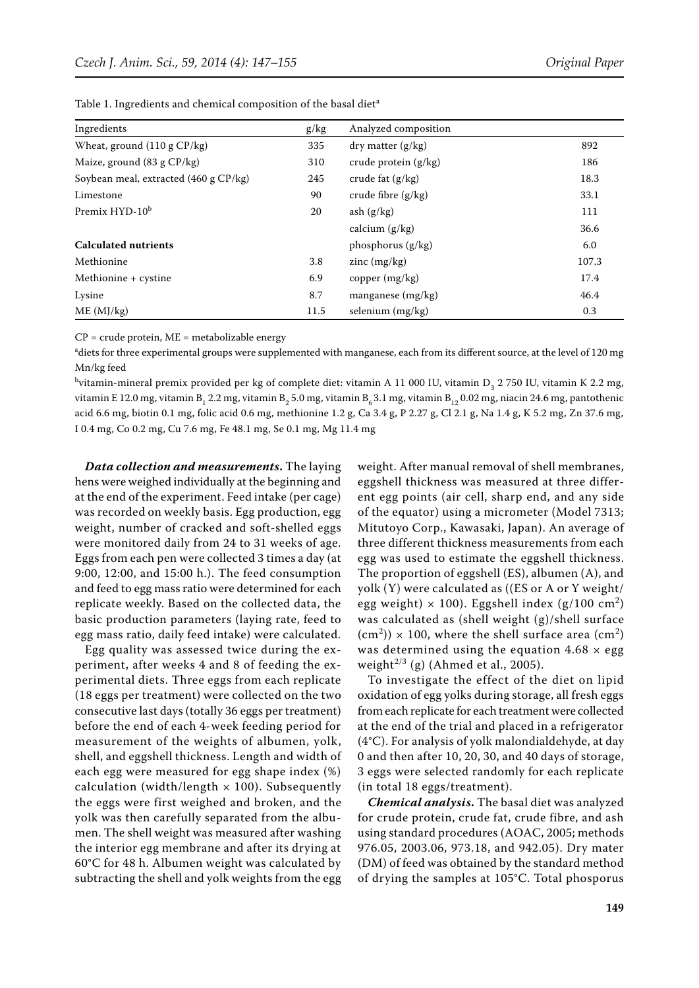| Ingredients                           | g/kg | Analyzed composition                      |       |
|---------------------------------------|------|-------------------------------------------|-------|
| Wheat, ground $(110 \text{ g CP/kg})$ | 335  | $\frac{dy}{dx}$ dry matter $\frac{g}{kg}$ | 892   |
| Maize, ground (83 g CP/kg)            | 310  | crude protein $(g/kg)$                    | 186   |
| Soybean meal, extracted (460 g CP/kg) | 245  | crude fat $(g/kg)$                        | 18.3  |
| Limestone                             | 90   | crude fibre $(g/kg)$                      | 33.1  |
| Premix HYD-10 <sup>b</sup>            | 20   | ash $(g/kg)$                              | 111   |
|                                       |      | calcium $(g/kg)$                          | 36.6  |
| <b>Calculated nutrients</b>           |      | phosphorus $(g/kg)$                       | 6.0   |
| Methionine                            | 3.8  | zinc $(mg/kg)$                            | 107.3 |
| Methionine + cystine                  | 6.9  | copper $(mg/kg)$                          | 17.4  |
| Lysine                                | 8.7  | manganese $(mg/kg)$                       | 46.4  |
| ME (MJ/kg)                            | 11.5 | selenium $(mg/kg)$                        | 0.3   |

Table 1. Ingredients and chemical composition of the basal diet<sup>a</sup>

 $CP =$  crude protein,  $ME =$  metabolizable energy

a diets for three experimental groups were supplemented with manganese, each from its different source, at the level of 120 mg Mn/kg feed

<sup>b</sup>vitamin-mineral premix provided per kg of complete diet: vitamin A 11 000 IU, vitamin D<sub>3</sub> 2 750 IU, vitamin K 2.2 mg, vitamin E 12.0 mg, vitamin B<sub>1</sub> 2.2 mg, vitamin B<sub>2</sub> 5.0 mg, vitamin B<sub>6</sub> 3.1 mg, vitamin B<sub>12</sub> 0.02 mg, niacin 24.6 mg, pantothenic acid 6.6 mg, biotin 0.1 mg, folic acid 0.6 mg, methionine 1.2 g, Ca 3.4 g, P 2.27 g, Cl 2.1 g, Na 1.4 g, K 5.2 mg, Zn 37.6 mg, I 0.4 mg, Co 0.2 mg, Cu 7.6 mg, Fe 48.1 mg, Se 0.1 mg, Mg 11.4 mg

*Data collection and measurements***.** The laying hens were weighed individually at the beginning and at the end of the experiment. Feed intake (per cage) was recorded on weekly basis. Egg production, egg weight, number of cracked and soft-shelled eggs were monitored daily from 24 to 31 weeks of age. Eggs from each pen were collected 3 times a day (at 9:00, 12:00, and 15:00 h.). The feed consumption and feed to egg mass ratio were determined for each replicate weekly. Based on the collected data, the basic production parameters (laying rate, feed to egg mass ratio, daily feed intake) were calculated.

Egg quality was assessed twice during the experiment, after weeks 4 and 8 of feeding the experimental diets. Three eggs from each replicate (18 eggs per treatment) were collected on the two consecutive last days (totally 36 eggs per treatment) before the end of each 4-week feeding period for measurement of the weights of albumen, yolk, shell, and eggshell thickness. Length and width of each egg were measured for egg shape index (%) calculation (width/length  $\times$  100). Subsequently the eggs were first weighed and broken, and the yolk was then carefully separated from the albumen. The shell weight was measured after washing the interior egg membrane and after its drying at 60°C for 48 h. Albumen weight was calculated by subtracting the shell and yolk weights from the egg

weight. After manual removal of shell membranes, eggshell thickness was measured at three different egg points (air cell, sharp end, and any side of the equator) using a micrometer (Model 7313; Mitutoyo Corp., Kawasaki, Japan). An average of three different thickness measurements from each egg was used to estimate the eggshell thickness. The proportion of eggshell (ES), albumen (A), and yolk (Y) were calculated as ((ES or A or Y weight/ egg weight)  $\times$  100). Eggshell index (g/100 cm<sup>2</sup>) was calculated as (shell weight (g)/shell surface  $\rm (cm^2)$ ) × 100, where the shell surface area (cm<sup>2</sup>) was determined using the equation  $4.68 \times$  egg weight<sup> $2/3$ </sup> (g) (Ahmed et al., 2005).

To investigate the effect of the diet on lipid oxidation of egg yolks during storage, all fresh eggs from each replicate for each treatment were collected at the end of the trial and placed in a refrigerator (4°C). For analysis of yolk malondialdehyde, at day 0 and then after 10, 20, 30, and 40 days of storage, 3 eggs were selected randomly for each replicate (in total 18 eggs/treatment).

*Chemical analysis***.** The basal diet was analyzed for crude protein, crude fat, crude fibre, and ash using standard procedures (AOAC, 2005; methods 976.05, 2003.06, 973.18, and 942.05). Dry mater (DM) of feed was obtained by the standard method of drying the samples at 105°C. Total phosporus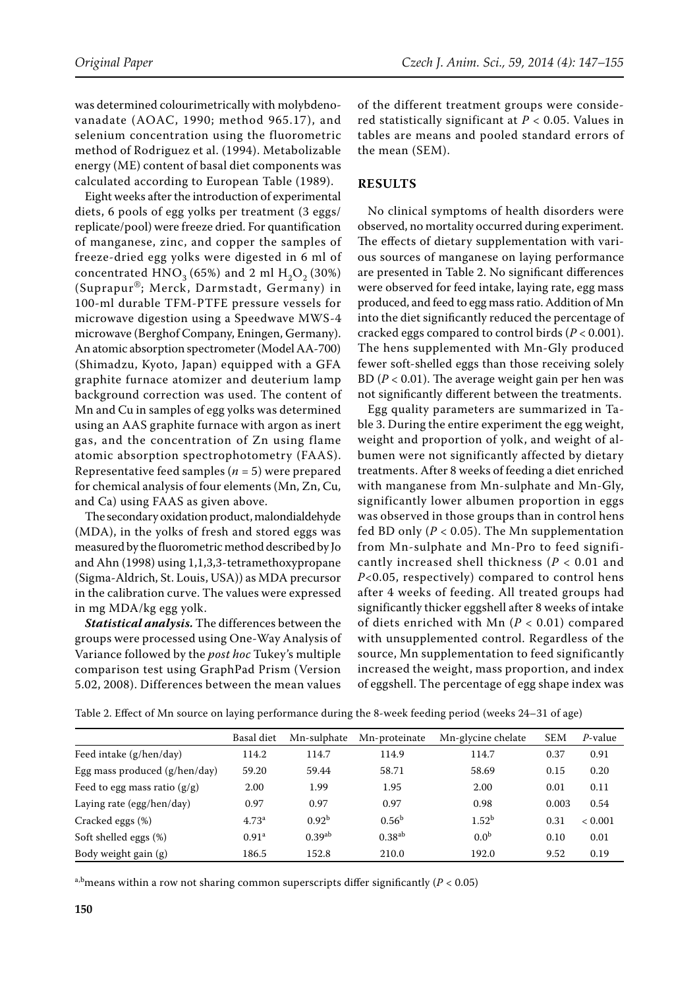was determined colourimetrically with molybdenovanadate (AOAC, 1990; method 965.17), and selenium concentration using the fluorometric method of Rodriguez et al. (1994). Metabolizable energy (ME) content of basal diet components was calculated according to European Table (1989).

Eight weeks after the introduction of experimental diets, 6 pools of egg yolks per treatment (3 eggs/ replicate/pool) were freeze dried. For quantification of manganese, zinc, and copper the samples of freeze-dried egg yolks were digested in 6 ml of concentrated  $HNO<sub>3</sub>$  (65%) and 2 ml  $H<sub>2</sub>O<sub>2</sub>$  (30%) (Suprapur®; Merck, Darmstadt, Germany) in 100-ml durable TFM-PTFE pressure vessels for microwave digestion using a Speedwave MWS-4 microwave (Berghof Company, Eningen, Germany). An atomic absorption spectrometer (Model AA-700) (Shimadzu, Kyoto, Japan) equipped with a GFA graphite furnace atomizer and deuterium lamp background correction was used. The content of Mn and Cu in samples of egg yolks was determined using an AAS graphite furnace with argon as inert gas, and the concentration of Zn using flame atomic absorption spectrophotometry (FAAS). Representative feed samples (*n* = 5) were prepared for chemical analysis of four elements (Mn, Zn, Cu, and Ca) using FAAS as given above.

The secondary oxidation product, malondialdehyde (MDA), in the yolks of fresh and stored eggs was measured by the fluorometric method described by Jo and Ahn (1998) using 1,1,3,3-tetramethoxypropane (Sigma-Aldrich, St. Louis, USA)) as MDA precursor in the calibration curve. The values were expressed in mg MDA/kg egg yolk.

*Statistical analysis.* The differences between the groups were processed using One-Way Analysis of Variance followed by the *post hoc* Tukey's multiple comparison test using GraphPad Prism (Version 5.02, 2008). Differences between the mean values of the different treatment groups were considered statistically significant at *P* < 0.05. Values in tables are means and pooled standard errors of the mean (SEM).

## **RESULTS**

No clinical symptoms of health disorders were observed, no mortality occurred during experiment. The effects of dietary supplementation with various sources of manganese on laying performance are presented in Table 2. No significant differences were observed for feed intake, laying rate, egg mass produced, and feed to egg mass ratio. Addition of Mn into the diet significantly reduced the percentage of cracked eggs compared to control birds (*P* < 0.001). The hens supplemented with Mn-Gly produced fewer soft-shelled eggs than those receiving solely BD ( $P < 0.01$ ). The average weight gain per hen was not significantly different between the treatments.

Egg quality parameters are summarized in Table 3. During the entire experiment the egg weight, weight and proportion of yolk, and weight of albumen were not significantly affected by dietary treatments. After 8 weeks of feeding a diet enriched with manganese from Mn-sulphate and Mn-Gly, significantly lower albumen proportion in eggs was observed in those groups than in control hens fed BD only ( $P < 0.05$ ). The Mn supplementation from Mn-sulphate and Mn-Pro to feed significantly increased shell thickness (*P* < 0.01 and *P*<0.05, respectively) compared to control hens after 4 weeks of feeding. All treated groups had significantly thicker eggshell after 8 weeks of intake of diets enriched with Mn (*P* < 0.01) compared with unsupplemented control. Regardless of the source, Mn supplementation to feed significantly increased the weight, mass proportion, and index of eggshell. The percentage of egg shape index was

|                                 | Basal diet        | Mn-sulphate       | Mn-proteinate     | Mn-glycine chelate | <b>SEM</b> | $P$ -value |
|---------------------------------|-------------------|-------------------|-------------------|--------------------|------------|------------|
| Feed intake (g/hen/day)         | 114.2             | 114.7             | 114.9             | 114.7              | 0.37       | 0.91       |
| Egg mass produced $(g/hen/day)$ | 59.20             | 59.44             | 58.71             | 58.69              | 0.15       | 0.20       |
| Feed to egg mass ratio $(g/g)$  | 2.00              | 1.99              | 1.95              | 2.00               | 0.01       | 0.11       |
| Laying rate (egg/hen/day)       | 0.97              | 0.97              | 0.97              | 0.98               | 0.003      | 0.54       |
| Cracked eggs (%)                | $4.73^{\rm a}$    | 0.92 <sup>b</sup> | 0.56 <sup>b</sup> | 1.52 <sup>b</sup>  | 0.31       | < 0.001    |
| Soft shelled eggs (%)           | 0.91 <sup>a</sup> | $0.39^{ab}$       | $0.38^{ab}$       | 0.0 <sup>b</sup>   | 0.10       | 0.01       |
| Body weight gain (g)            | 186.5             | 152.8             | 210.0             | 192.0              | 9.52       | 0.19       |

Table 2. Effect of Mn source on laying performance during the 8-week feeding period (weeks 24–31 of age)

<sup>a,b</sup> means within a row not sharing common superscripts differ significantly ( $P < 0.05$ )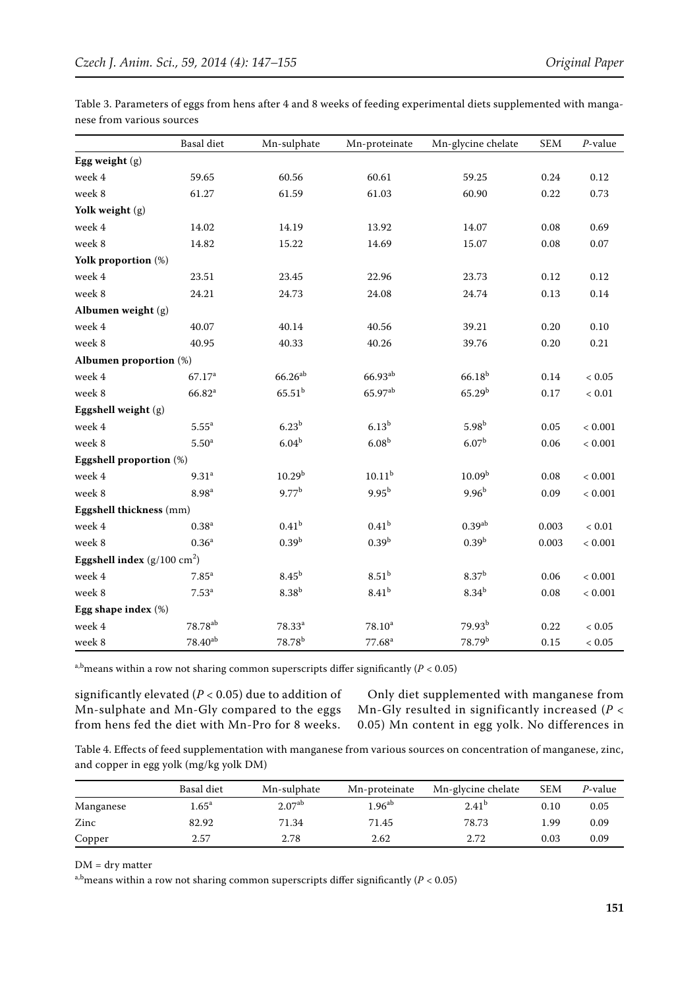|                                       | <b>Basal</b> diet   | Mn-sulphate       | Mn-proteinate      | Mn-glycine chelate   | <b>SEM</b> | $P$ -value  |
|---------------------------------------|---------------------|-------------------|--------------------|----------------------|------------|-------------|
| Egg weight $(g)$                      |                     |                   |                    |                      |            |             |
| week 4                                | 59.65               | 60.56             | 60.61              | 59.25                | 0.24       | 0.12        |
| week 8                                | 61.27               | 61.59             | 61.03              | 60.90                | 0.22       | 0.73        |
| Yolk weight (g)                       |                     |                   |                    |                      |            |             |
| week 4                                | 14.02               | 14.19             | 13.92              | 14.07                | 0.08       | 0.69        |
| week 8                                | 14.82               | 15.22             | 14.69              | 15.07                | 0.08       | $0.07\,$    |
| Yolk proportion (%)                   |                     |                   |                    |                      |            |             |
| week 4                                | 23.51               | 23.45             | 22.96              | 23.73                | 0.12       | 0.12        |
| week 8                                | 24.21               | 24.73             | 24.08              | 24.74                | 0.13       | 0.14        |
| Albumen weight (g)                    |                     |                   |                    |                      |            |             |
| week 4                                | 40.07               | 40.14             | 40.56              | 39.21                | 0.20       | 0.10        |
| week 8                                | 40.95               | 40.33             | 40.26              | 39.76                | 0.20       | 0.21        |
| Albumen proportion (%)                |                     |                   |                    |                      |            |             |
| week 4                                | 67.17 <sup>a</sup>  | $66.26^{ab}$      | $66.93^{ab}$       | $66.18^{b}$          | $0.14\,$   | < 0.05      |
| week 8                                | 66.82 <sup>a</sup>  | $65.51^{b}$       | 65.97ab            | 65.29 <sup>b</sup>   | 0.17       | $< 0.01\,$  |
| Eggshell weight (g)                   |                     |                   |                    |                      |            |             |
| week 4                                | $5.55^a$            | 6.23 <sup>b</sup> | 6.13 <sup>b</sup>  | $5.98^{b}$           | 0.05       | < 0.001     |
| week 8                                | 5.50 <sup>a</sup>   | 6.04 <sup>b</sup> | 6.08 <sup>b</sup>  | 6.07 <sup>b</sup>    | 0.06       | $< 0.001$   |
| Eggshell proportion (%)               |                     |                   |                    |                      |            |             |
| week 4                                | 9.31 <sup>a</sup>   | $10.29^{b}$       | $10.11^{b}$        | 10.09 <sup>b</sup>   | 0.08       | < 0.001     |
| week 8                                | 8.98 <sup>a</sup>   | 9.77 <sup>b</sup> | $9.95^{b}$         | $9.96^{b}$           | 0.09       | $< 0.001$   |
| Eggshell thickness (mm)               |                     |                   |                    |                      |            |             |
| week 4                                | 0.38 <sup>a</sup>   | 0.41 <sup>b</sup> | 0.41 <sup>b</sup>  | $0.39$ <sup>ab</sup> | 0.003      | $< 0.01$    |
| week 8                                | 0.36 <sup>a</sup>   | $0.39^{b}$        | $0.39^{b}$         | $0.39^{b}$           | 0.003      | $< 0.001$   |
| Eggshell index $(g/100 \text{ cm}^2)$ |                     |                   |                    |                      |            |             |
| week 4                                | 7.85 <sup>a</sup>   | 8.45 <sup>b</sup> | 8.51 <sup>b</sup>  | 8.37 <sup>b</sup>    | 0.06       | $< 0.001\,$ |
| week 8                                | 7.53 <sup>a</sup>   | 8.38 <sup>b</sup> | 8.41 <sup>b</sup>  | $8.34^{b}$           | 0.08       | $< 0.001$   |
| Egg shape index (%)                   |                     |                   |                    |                      |            |             |
| week 4                                | 78.78 <sup>ab</sup> | $78.33^{a}$       | $78.10^a$          | 79.93 <sup>b</sup>   | 0.22       | < 0.05      |
| week 8                                | $78.40^{ab}$        | $78.78^{b}$       | 77.68 <sup>a</sup> | 78.79 <sup>b</sup>   | 0.15       | $< 0.05\,$  |

Table 3. Parameters of eggs from hens after 4 and 8 weeks of feeding experimental diets supplemented with manganese from various sources

a,b<sub>means</sub> within a row not sharing common superscripts differ significantly ( $P < 0.05$ )

significantly elevated (*P* < 0.05) due to addition of Mn-sulphate and Mn-Gly compared to the eggs from hens fed the diet with Mn-Pro for 8 weeks.

Only diet supplemented with manganese from Mn-Gly resulted in significantly increased (*P* < 0.05) Mn content in egg yolk. No differences in

Table 4. Effects of feed supplementation with manganese from various sources on concentration of manganese, zinc, and copper in egg yolk (mg/kg yolk DM)

|           | Basal diet     | Mn-sulphate        | Mn-proteinate        | Mn-glycine chelate | <b>SEM</b> | P-value |
|-----------|----------------|--------------------|----------------------|--------------------|------------|---------|
| Manganese | $1.65^{\rm a}$ | 2.07 <sup>ab</sup> | $1.96$ <sup>ab</sup> | $2.41^{b}$         | 0.10       | 0.05    |
| Zinc      | 82.92          | 71.34              | 71.45                | 78.73              | 1.99       | 0.09    |
| Copper    | 2.57           | 2.78               | 2.62                 | 2.72               | 0.03       | 0.09    |

DM = dry matter

a,b<sub>means</sub> within a row not sharing common superscripts differ significantly ( $P < 0.05$ )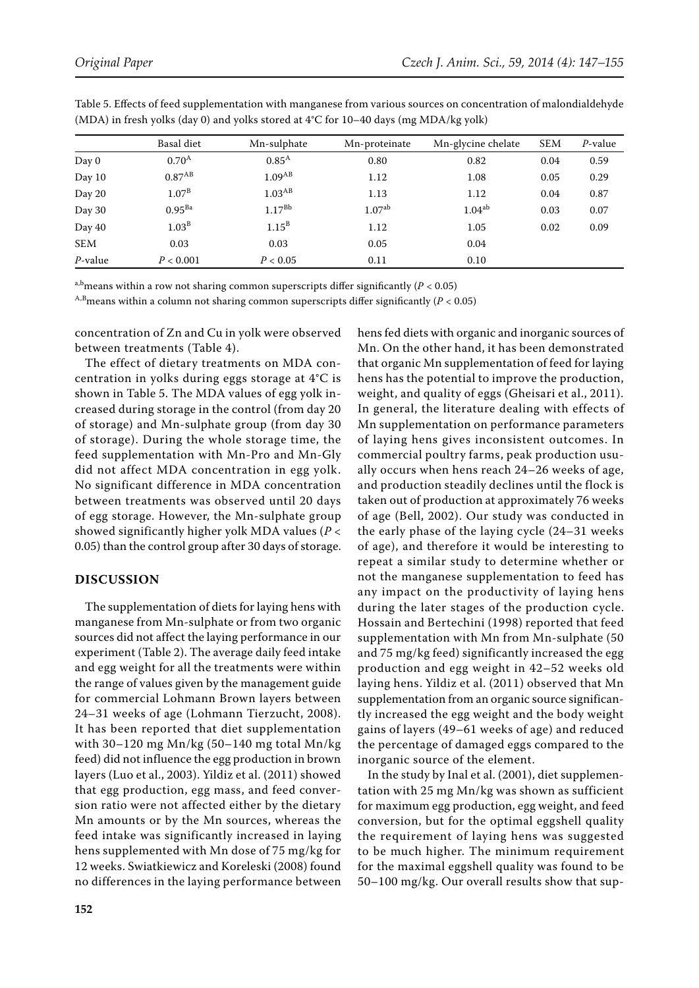|            | Basal diet         | Mn-sulphate        | Mn-proteinate | Mn-glycine chelate | <b>SEM</b> | $P$ -value |
|------------|--------------------|--------------------|---------------|--------------------|------------|------------|
| Day 0      | 0.70 <sup>A</sup>  | 0.85 <sup>A</sup>  | 0.80          | 0.82               | 0.04       | 0.59       |
| Day 10     | 0.87 <sup>AB</sup> | 1.09 <sub>AB</sub> | 1.12          | 1.08               | 0.05       | 0.29       |
| Day 20     | 1.07 <sup>B</sup>  | 1.03 <sup>AB</sup> | 1.13          | 1.12               | 0.04       | 0.87       |
| Day 30     | $0.95^{Ba}$        | 1.17 <sup>Bb</sup> | $1.07^{ab}$   | 1.04 <sup>ab</sup> | 0.03       | 0.07       |
| Day 40     | 1.03 <sup>B</sup>  | $1.15^B$           | 1.12          | 1.05               | 0.02       | 0.09       |
| <b>SEM</b> | 0.03               | 0.03               | 0.05          | 0.04               |            |            |
| $P$ -value | P < 0.001          | P < 0.05           | 0.11          | 0.10               |            |            |

Table 5. Effects of feed supplementation with manganese from various sources on concentration of malondialdehyde (MDA) in fresh yolks (day 0) and yolks stored at 4°C for 10–40 days (mg MDA/kg yolk)

a,b<sub>means</sub> within a row not sharing common superscripts differ significantly ( $P < 0.05$ )

<sup>A,B</sup> means within a column not sharing common superscripts differ significantly ( $P < 0.05$ )

concentration of Zn and Cu in yolk were observed between treatments (Table 4).

The effect of dietary treatments on MDA concentration in yolks during eggs storage at 4°C is shown in Table 5. The MDA values of egg yolk increased during storage in the control (from day 20 of storage) and Mn-sulphate group (from day 30 of storage). During the whole storage time, the feed supplementation with Mn-Pro and Mn-Gly did not affect MDA concentration in egg yolk. No significant difference in MDA concentration between treatments was observed until 20 days of egg storage. However, the Mn-sulphate group showed significantly higher yolk MDA values (*P* < 0.05) than the control group after 30 days of storage.

# **DISCUSSION**

The supplementation of diets for laying hens with manganese from Mn-sulphate or from two organic sources did not affect the laying performance in our experiment (Table 2). The average daily feed intake and egg weight for all the treatments were within the range of values given by the management guide for commercial Lohmann Brown layers between 24–31 weeks of age (Lohmann Tierzucht, 2008). It has been reported that diet supplementation with 30–120 mg Mn/kg (50–140 mg total Mn/kg feed) did not influence the egg production in brown layers (Luo et al., 2003). Yildiz et al. (2011) showed that egg production, egg mass, and feed conversion ratio were not affected either by the dietary Mn amounts or by the Mn sources, whereas the feed intake was significantly increased in laying hens supplemented with Mn dose of 75 mg/kg for 12 weeks. Swiatkiewicz and Koreleski (2008) found no differences in the laying performance between hens fed diets with organic and inorganic sources of Mn. On the other hand, it has been demonstrated that organic Mn supplementation of feed for laying hens has the potential to improve the production, weight, and quality of eggs (Gheisari et al., 2011). In general, the literature dealing with effects of Mn supplementation on performance parameters of laying hens gives inconsistent outcomes. In commercial poultry farms, peak production usually occurs when hens reach 24–26 weeks of age, and production steadily declines until the flock is taken out of production at approximately 76 weeks of age (Bell, 2002). Our study was conducted in the early phase of the laying cycle (24–31 weeks of age), and therefore it would be interesting to repeat a similar study to determine whether or not the manganese supplementation to feed has any impact on the productivity of laying hens during the later stages of the production cycle. Hossain and Bertechini (1998) reported that feed supplementation with Mn from Mn-sulphate (50 and 75 mg/kg feed) significantly increased the egg production and egg weight in 42–52 weeks old laying hens. Yildiz et al. (2011) observed that Mn supplementation from an organic source significantly increased the egg weight and the body weight gains of layers (49–61 weeks of age) and reduced the percentage of damaged eggs compared to the inorganic source of the element.

In the study by Inal et al. (2001), diet supplementation with 25 mg Mn/kg was shown as sufficient for maximum egg production, egg weight, and feed conversion, but for the optimal eggshell quality the requirement of laying hens was suggested to be much higher. The minimum requirement for the maximal eggshell quality was found to be 50–100 mg/kg. Our overall results show that sup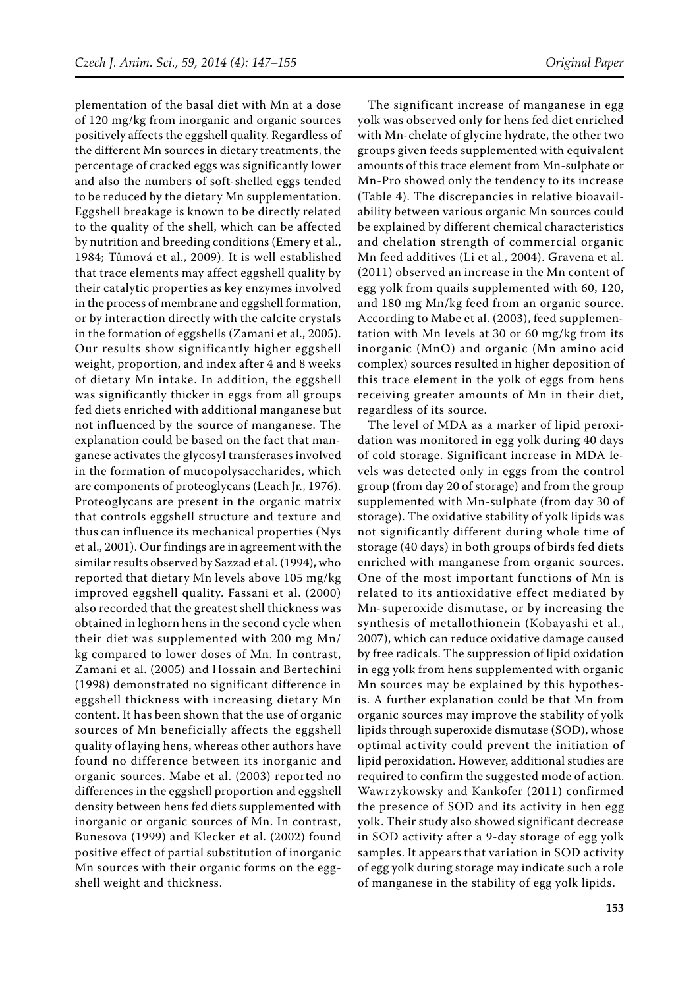plementation of the basal diet with Mn at a dose of 120 mg/kg from inorganic and organic sources positively affects the eggshell quality. Regardless of the different Mn sources in dietary treatments, the percentage of cracked eggs was significantly lower and also the numbers of soft-shelled eggs tended to be reduced by the dietary Mn supplementation. Eggshell breakage is known to be directly related to the quality of the shell, which can be affected by nutrition and breeding conditions (Emery et al., 1984; Tůmová et al., 2009). It is well established that trace elements may affect eggshell quality by their catalytic properties as key enzymes involved in the process of membrane and eggshell formation, or by interaction directly with the calcite crystals in the formation of eggshells (Zamani et al., 2005). Our results show significantly higher eggshell weight, proportion, and index after 4 and 8 weeks of dietary Mn intake. In addition, the eggshell was significantly thicker in eggs from all groups fed diets enriched with additional manganese but not influenced by the source of manganese. The explanation could be based on the fact that manganese activates the glycosyl transferases involved in the formation of mucopolysaccharides, which are components of proteoglycans (Leach Jr., 1976). Proteoglycans are present in the organic matrix that controls eggshell structure and texture and thus can influence its mechanical properties (Nys et al., 2001). Our findings are in agreement with the similar results observed by Sazzad et al. (1994), who reported that dietary Mn levels above 105 mg/kg improved eggshell quality. Fassani et al. (2000) also recorded that the greatest shell thickness was obtained in leghorn hens in the second cycle when their diet was supplemented with 200 mg Mn/ kg compared to lower doses of Mn. In contrast, Zamani et al. (2005) and Hossain and Bertechini (1998) demonstrated no significant difference in eggshell thickness with increasing dietary Mn content. It has been shown that the use of organic sources of Mn beneficially affects the eggshell quality of laying hens, whereas other authors have found no difference between its inorganic and organic sources. Mabe et al. (2003) reported no differences in the eggshell proportion and eggshell density between hens fed diets supplemented with inorganic or organic sources of Mn. In contrast, Bunesova (1999) and Klecker et al. (2002) found positive effect of partial substitution of inorganic Mn sources with their organic forms on the eggshell weight and thickness.

The significant increase of manganese in egg yolk was observed only for hens fed diet enriched with Mn-chelate of glycine hydrate, the other two groups given feeds supplemented with equivalent amounts of this trace element from Mn-sulphate or Mn-Pro showed only the tendency to its increase (Table 4). The discrepancies in relative bioavailability between various organic Mn sources could be explained by different chemical characteristics and chelation strength of commercial organic Mn feed additives (Li et al., 2004). Gravena et al. (2011) observed an increase in the Mn content of egg yolk from quails supplemented with 60, 120, and 180 mg Mn/kg feed from an organic source. According to Mabe et al. (2003), feed supplementation with Mn levels at 30 or 60 mg/kg from its inorganic (MnO) and organic (Mn amino acid complex) sources resulted in higher deposition of this trace element in the yolk of eggs from hens receiving greater amounts of Mn in their diet, regardless of its source.

The level of MDA as a marker of lipid peroxidation was monitored in egg yolk during 40 days of cold storage. Significant increase in MDA levels was detected only in eggs from the control group (from day 20 of storage) and from the group supplemented with Mn-sulphate (from day 30 of storage). The oxidative stability of yolk lipids was not significantly different during whole time of storage (40 days) in both groups of birds fed diets enriched with manganese from organic sources. One of the most important functions of Mn is related to its antioxidative effect mediated by Mn-superoxide dismutase, or by increasing the synthesis of metallothionein (Kobayashi et al., 2007), which can reduce oxidative damage caused by free radicals. The suppression of lipid oxidation in egg yolk from hens supplemented with organic Mn sources may be explained by this hypothesis. A further explanation could be that Mn from organic sources may improve the stability of yolk lipids through superoxide dismutase (SOD), whose optimal activity could prevent the initiation of lipid peroxidation. However, additional studies are required to confirm the suggested mode of action. Wawrzykowsky and Kankofer (2011) confirmed the presence of SOD and its activity in hen egg yolk. Their study also showed significant decrease in SOD activity after a 9-day storage of egg yolk samples. It appears that variation in SOD activity of egg yolk during storage may indicate such a role of manganese in the stability of egg yolk lipids.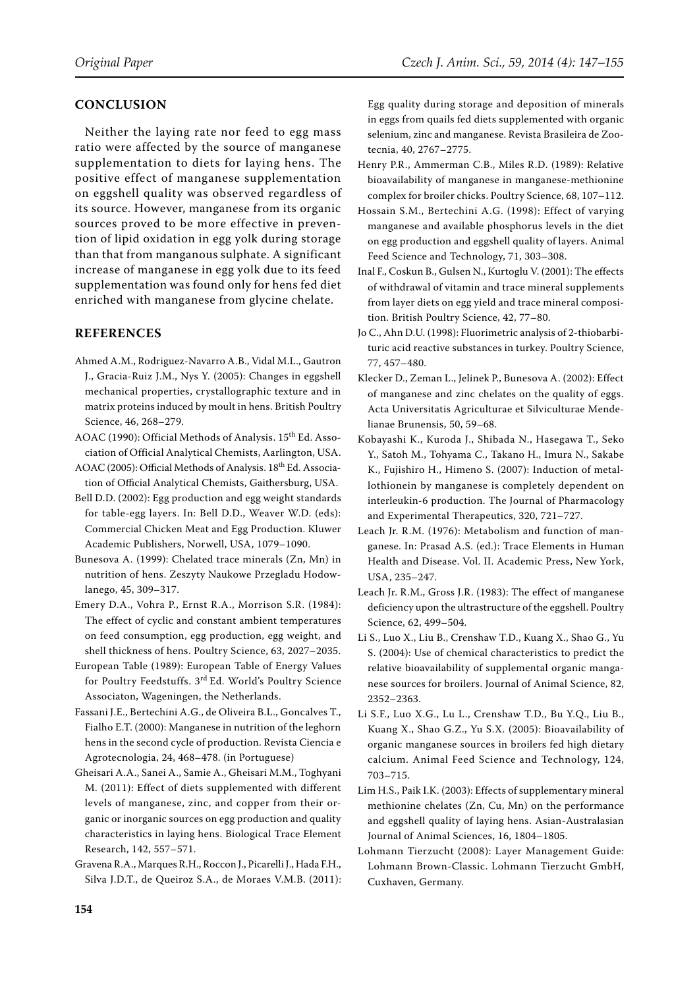# **CONCLUSION**

Neither the laying rate nor feed to egg mass ratio were affected by the source of manganese supplementation to diets for laying hens. The positive effect of manganese supplementation on eggshell quality was observed regardless of its source. However, manganese from its organic sources proved to be more effective in prevention of lipid oxidation in egg yolk during storage than that from manganous sulphate. A significant increase of manganese in egg yolk due to its feed supplementation was found only for hens fed diet enriched with manganese from glycine chelate.

## **REFERENCES**

- Ahmed A.M., Rodriguez-Navarro A.B., Vidal M.L., Gautron J., Gracia-Ruiz J.M., Nys Y. (2005): Changes in eggshell mechanical properties, crystallographic texture and in matrix proteins induced by moult in hens. British Poultry Science, 46, 268–279.
- AOAC (1990): Official Methods of Analysis. 15<sup>th</sup> Ed. Association of Official Analytical Chemists, Aarlington, USA.
- AOAC (2005): Official Methods of Analysis. 18<sup>th</sup> Ed. Association of Official Analytical Chemists, Gaithersburg, USA.
- Bell D.D. (2002): Egg production and egg weight standards for table-egg layers. In: Bell D.D., Weaver W.D. (eds): Commercial Chicken Meat and Egg Production. Kluwer Academic Publishers, Norwell, USA, 1079–1090.
- Bunesova A. (1999): Chelated trace minerals (Zn, Mn) in nutrition of hens. Zeszyty Naukowe Przegladu Hodowlanego, 45, 309–317.
- Emery D.A., Vohra P., Ernst R.A., Morrison S.R. (1984): The effect of cyclic and constant ambient temperatures on feed consumption, egg production, egg weight, and shell thickness of hens. Poultry Science, 63, 2027–2035.
- European Table (1989): European Table of Energy Values for Poultry Feedstuffs. 3rd Ed. World's Poultry Science Associaton, Wageningen, the Netherlands.
- Fassani J.E., Bertechini A.G., de Oliveira B.L., Goncalves T., Fialho E.T. (2000): Manganese in nutrition of the leghorn hens in the second cycle of production. Revista Ciencia e Agrotecnologia, 24, 468–478. (in Portuguese)
- Gheisari A.A., Sanei A., Samie A., Gheisari M.M., Toghyani M. (2011): Effect of diets supplemented with different levels of manganese, zinc, and copper from their organic or inorganic sources on egg production and quality characteristics in laying hens. Biological Trace Element Research, 142, 557–571.
- Gravena R.A., Marques R.H., Roccon J., Picarelli J., Hada F.H., Silva J.D.T., de Queiroz S.A., de Moraes V.M.B. (2011):

Egg quality during storage and deposition of minerals in eggs from quails fed diets supplemented with organic selenium, zinc and manganese. Revista Brasileira de Zootecnia, 40, 2767–2775.

- Henry P.R., Ammerman C.B., Miles R.D. (1989): Relative bioavailability of manganese in manganese-methionine complex for broiler chicks. Poultry Science, 68, 107–112.
- Hossain S.M., Bertechini A.G. (1998): Effect of varying manganese and available phosphorus levels in the diet on egg production and eggshell quality of layers. Animal Feed Science and Technology, 71, 303–308.
- Inal F., Coskun B., Gulsen N., Kurtoglu V. (2001): The effects of withdrawal of vitamin and trace mineral supplements from layer diets on egg yield and trace mineral composition. British Poultry Science, 42, 77–80.
- Jo C., Ahn D.U. (1998): Fluorimetric analysis of 2-thiobarbituric acid reactive substances in turkey. Poultry Science, 77, 457–480.
- Klecker D., Zeman L., Jelinek P., Bunesova A. (2002): Effect of manganese and zinc chelates on the quality of eggs. Acta Universitatis Agriculturae et Silviculturae Mendelianae Brunensis, 50, 59–68.
- Kobayashi K., Kuroda J., Shibada N., Hasegawa T., Seko Y., Satoh M., Tohyama C., Takano H., Imura N., Sakabe K., Fujishiro H., Himeno S. (2007): Induction of metallothionein by manganese is completely dependent on interleukin-6 production. The Journal of Pharmacology and Experimental Therapeutics, 320, 721–727.
- Leach Jr. R.M. (1976): Metabolism and function of manganese. In: Prasad A.S. (ed.): Trace Elements in Human Health and Disease. Vol. II. Academic Press, New York, USA, 235–247.
- Leach Jr. R.M., Gross J.R. (1983): The effect of manganese deficiency upon the ultrastructure of the eggshell. Poultry Science, 62, 499–504.
- Li S., Luo X., Liu B., Crenshaw T.D., Kuang X., Shao G., Yu S. (2004): Use of chemical characteristics to predict the relative bioavailability of supplemental organic manganese sources for broilers. Journal of Animal Science, 82, 2352–2363.
- Li S.F., Luo X.G., Lu L., Crenshaw T.D., Bu Y.Q., Liu B., Kuang X., Shao G.Z., Yu S.X. (2005): Bioavailability of organic manganese sources in broilers fed high dietary calcium. Animal Feed Science and Technology, 124, 703–715.
- Lim H.S., Paik I.K. (2003): Effects of supplementary mineral methionine chelates (Zn, Cu, Mn) on the performance and eggshell quality of laying hens. Asian-Australasian Journal of Animal Sciences, 16, 1804–1805.
- Lohmann Tierzucht (2008): Layer Management Guide: Lohmann Brown-Classic. Lohmann Tierzucht GmbH, Cuxhaven, Germany.